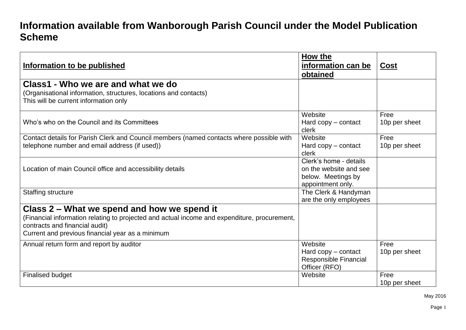## **Information available from Wanborough Parish Council under the Model Publication Scheme**

| Information to be published                                                                                                                                                                                                       | How the<br>information can be<br>obtained                                                   | <b>Cost</b>           |
|-----------------------------------------------------------------------------------------------------------------------------------------------------------------------------------------------------------------------------------|---------------------------------------------------------------------------------------------|-----------------------|
| Class1 - Who we are and what we do<br>(Organisational information, structures, locations and contacts)<br>This will be current information only                                                                                   |                                                                                             |                       |
| Who's who on the Council and its Committees                                                                                                                                                                                       | Website<br>Hard $copy$ – contact<br>clerk                                                   | Free<br>10p per sheet |
| Contact details for Parish Clerk and Council members (named contacts where possible with<br>telephone number and email address (if used))                                                                                         | Website<br>Hard $copy$ – contact<br>clerk                                                   | Free<br>10p per sheet |
| Location of main Council office and accessibility details                                                                                                                                                                         | Clerk's home - details<br>on the website and see<br>below. Meetings by<br>appointment only. |                       |
| <b>Staffing structure</b>                                                                                                                                                                                                         | The Clerk & Handyman<br>are the only employees                                              |                       |
| Class 2 – What we spend and how we spend it<br>(Financial information relating to projected and actual income and expenditure, procurement,<br>contracts and financial audit)<br>Current and previous financial year as a minimum |                                                                                             |                       |
| Annual return form and report by auditor                                                                                                                                                                                          | Website<br>Hard copy – contact<br>Responsible Financial<br>Officer (RFO)                    | Free<br>10p per sheet |
| <b>Finalised budget</b>                                                                                                                                                                                                           | Website                                                                                     | Free<br>10p per sheet |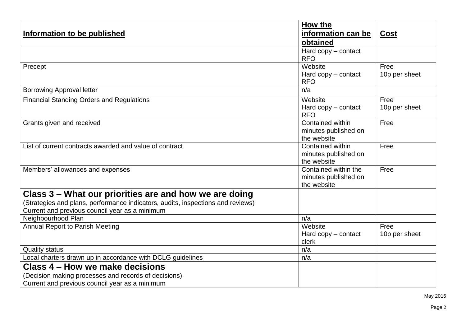| Information to be published                                                                                                                                                                 | How the<br>information can be<br>obtained                   | <b>Cost</b>           |
|---------------------------------------------------------------------------------------------------------------------------------------------------------------------------------------------|-------------------------------------------------------------|-----------------------|
|                                                                                                                                                                                             | Hard $copy$ – contact<br><b>RFO</b>                         |                       |
| Precept                                                                                                                                                                                     | Website<br>Hard $copy$ – contact<br><b>RFO</b>              | Free<br>10p per sheet |
| <b>Borrowing Approval letter</b>                                                                                                                                                            | n/a                                                         |                       |
| <b>Financial Standing Orders and Regulations</b>                                                                                                                                            | Website<br>Hard copy - contact<br><b>RFO</b>                | Free<br>10p per sheet |
| Grants given and received                                                                                                                                                                   | Contained within<br>minutes published on<br>the website     | Free                  |
| List of current contracts awarded and value of contract                                                                                                                                     | Contained within<br>minutes published on<br>the website     | Free                  |
| Members' allowances and expenses                                                                                                                                                            | Contained within the<br>minutes published on<br>the website | Free                  |
| Class 3 – What our priorities are and how we are doing<br>(Strategies and plans, performance indicators, audits, inspections and reviews)<br>Current and previous council year as a minimum |                                                             |                       |
| Neighbourhood Plan                                                                                                                                                                          | n/a                                                         |                       |
| <b>Annual Report to Parish Meeting</b>                                                                                                                                                      | Website<br>Hard copy - contact<br>clerk                     | Free<br>10p per sheet |
| <b>Quality status</b>                                                                                                                                                                       | n/a                                                         |                       |
| Local charters drawn up in accordance with DCLG guidelines                                                                                                                                  | n/a                                                         |                       |
| Class 4 - How we make decisions<br>(Decision making processes and records of decisions)                                                                                                     |                                                             |                       |
| Current and previous council year as a minimum                                                                                                                                              |                                                             |                       |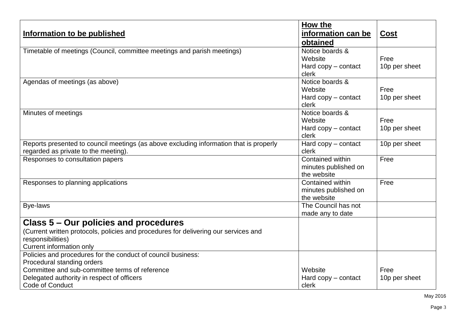| Information to be published                                                            | How the<br>information can be<br>obtained | <b>Cost</b>           |
|----------------------------------------------------------------------------------------|-------------------------------------------|-----------------------|
| Timetable of meetings (Council, committee meetings and parish meetings)                | Notice boards &                           |                       |
|                                                                                        | Website<br>Hard $copy$ – contact          | Free<br>10p per sheet |
|                                                                                        | clerk                                     |                       |
| Agendas of meetings (as above)                                                         | Notice boards &                           |                       |
|                                                                                        | Website                                   | Free                  |
|                                                                                        | Hard $copy$ – contact                     | 10p per sheet         |
|                                                                                        | clerk                                     |                       |
| Minutes of meetings                                                                    | Notice boards &                           |                       |
|                                                                                        | Website                                   | Free                  |
|                                                                                        | Hard copy - contact<br>clerk              | 10p per sheet         |
| Reports presented to council meetings (as above excluding information that is properly | Hard copy - contact                       | 10p per sheet         |
| regarded as private to the meeting).                                                   | clerk                                     |                       |
| Responses to consultation papers                                                       | Contained within                          | Free                  |
|                                                                                        | minutes published on                      |                       |
|                                                                                        | the website                               |                       |
| Responses to planning applications                                                     | Contained within                          | Free                  |
|                                                                                        | minutes published on                      |                       |
|                                                                                        | the website                               |                       |
| <b>Bye-laws</b>                                                                        | The Council has not                       |                       |
|                                                                                        | made any to date                          |                       |
| Class 5 – Our policies and procedures                                                  |                                           |                       |
| (Current written protocols, policies and procedures for delivering our services and    |                                           |                       |
| responsibilities)                                                                      |                                           |                       |
| <b>Current information only</b>                                                        |                                           |                       |
| Policies and procedures for the conduct of council business:                           |                                           |                       |
| Procedural standing orders                                                             |                                           |                       |
| Committee and sub-committee terms of reference                                         | Website                                   | Free                  |
| Delegated authority in respect of officers                                             | Hard copy - contact                       | 10p per sheet         |
| Code of Conduct                                                                        | clerk                                     |                       |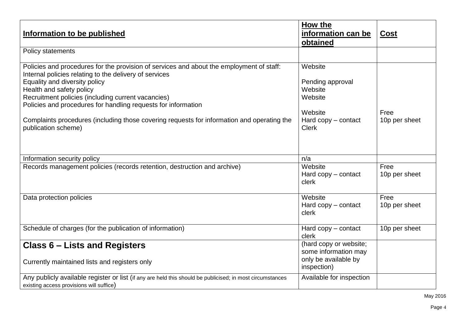| Information to be published                                                                                                                                                                                                                                                                                                                                                                                                                                 | How the<br>information can be<br>obtained                                                             | <b>Cost</b>           |
|-------------------------------------------------------------------------------------------------------------------------------------------------------------------------------------------------------------------------------------------------------------------------------------------------------------------------------------------------------------------------------------------------------------------------------------------------------------|-------------------------------------------------------------------------------------------------------|-----------------------|
| Policy statements                                                                                                                                                                                                                                                                                                                                                                                                                                           |                                                                                                       |                       |
| Policies and procedures for the provision of services and about the employment of staff:<br>Internal policies relating to the delivery of services<br>Equality and diversity policy<br>Health and safety policy<br>Recruitment policies (including current vacancies)<br>Policies and procedures for handling requests for information<br>Complaints procedures (including those covering requests for information and operating the<br>publication scheme) | Website<br>Pending approval<br>Website<br>Website<br>Website<br>Hard $copy$ – contact<br><b>Clerk</b> | Free<br>10p per sheet |
| Information security policy                                                                                                                                                                                                                                                                                                                                                                                                                                 | n/a                                                                                                   |                       |
| Records management policies (records retention, destruction and archive)                                                                                                                                                                                                                                                                                                                                                                                    | Website<br>Hard $copy$ – contact<br>clerk                                                             | Free<br>10p per sheet |
| Data protection policies                                                                                                                                                                                                                                                                                                                                                                                                                                    | Website<br>Hard $copy$ – contact<br>clerk                                                             | Free<br>10p per sheet |
| Schedule of charges (for the publication of information)                                                                                                                                                                                                                                                                                                                                                                                                    | Hard $copy$ – contact<br>clerk                                                                        | 10p per sheet         |
| <b>Class 6 – Lists and Registers</b><br>Currently maintained lists and registers only                                                                                                                                                                                                                                                                                                                                                                       | (hard copy or website;<br>some information may<br>only be available by<br>inspection)                 |                       |
| Any publicly available register or list (if any are held this should be publicised; in most circumstances<br>existing access provisions will suffice)                                                                                                                                                                                                                                                                                                       | Available for inspection                                                                              |                       |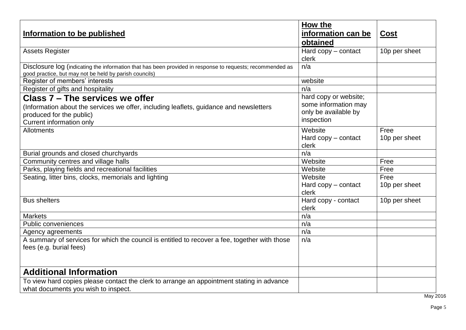| Information to be published                                                                                                                                                       | How the<br>information can be<br>obtained                                           | <b>Cost</b>           |
|-----------------------------------------------------------------------------------------------------------------------------------------------------------------------------------|-------------------------------------------------------------------------------------|-----------------------|
| <b>Assets Register</b>                                                                                                                                                            | Hard $copy$ – contact<br>clerk                                                      | 10p per sheet         |
| Disclosure log (indicating the information that has been provided in response to requests; recommended as<br>good practice, but may not be held by parish councils)               | n/a                                                                                 |                       |
| Register of members' interests                                                                                                                                                    | website                                                                             |                       |
| Register of gifts and hospitality                                                                                                                                                 | n/a                                                                                 |                       |
| Class 7 – The services we offer<br>(Information about the services we offer, including leaflets, guidance and newsletters<br>produced for the public)<br>Current information only | hard copy or website;<br>some information may<br>only be available by<br>inspection |                       |
| Allotments                                                                                                                                                                        | Website<br>Hard $copy$ – contact<br>clerk                                           | Free<br>10p per sheet |
| Burial grounds and closed churchyards                                                                                                                                             | n/a                                                                                 |                       |
| Community centres and village halls                                                                                                                                               | Website                                                                             | Free                  |
| Parks, playing fields and recreational facilities                                                                                                                                 | Website                                                                             | Free                  |
| Seating, litter bins, clocks, memorials and lighting                                                                                                                              | Website<br>Hard $copy$ – contact<br>clerk                                           | Free<br>10p per sheet |
| <b>Bus shelters</b>                                                                                                                                                               | Hard copy - contact<br>clerk                                                        | 10p per sheet         |
| <b>Markets</b>                                                                                                                                                                    | n/a                                                                                 |                       |
| <b>Public conveniences</b>                                                                                                                                                        | n/a                                                                                 |                       |
| Agency agreements                                                                                                                                                                 | n/a                                                                                 |                       |
| A summary of services for which the council is entitled to recover a fee, together with those<br>fees (e.g. burial fees)                                                          | n/a                                                                                 |                       |
| <b>Additional Information</b>                                                                                                                                                     |                                                                                     |                       |
| To view hard copies please contact the clerk to arrange an appointment stating in advance<br>what documents you wish to inspect.                                                  |                                                                                     |                       |